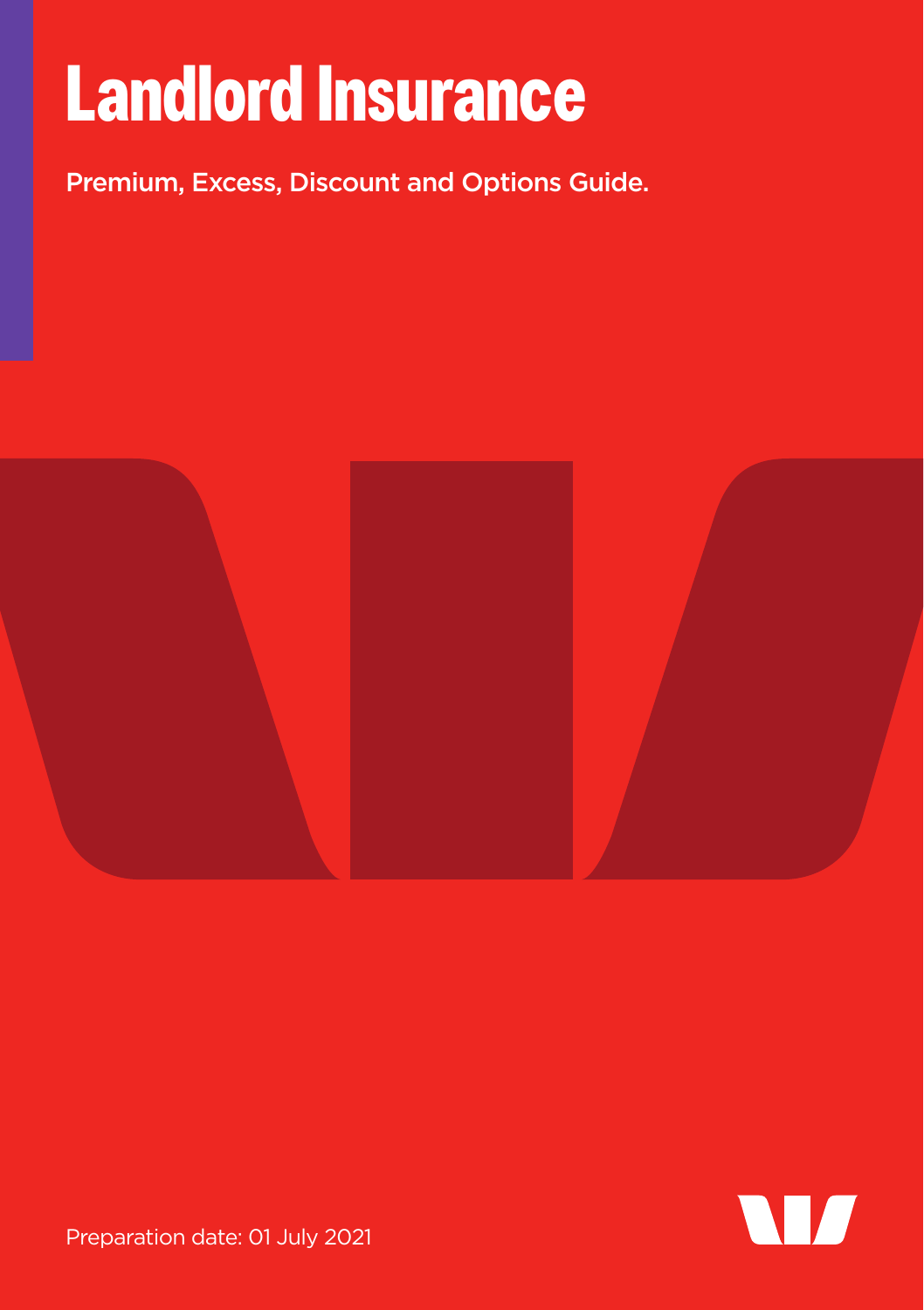# **Landlord Insurance**

Premium, Excess, Discount and Options Guide.





Preparation date: 01 July 2021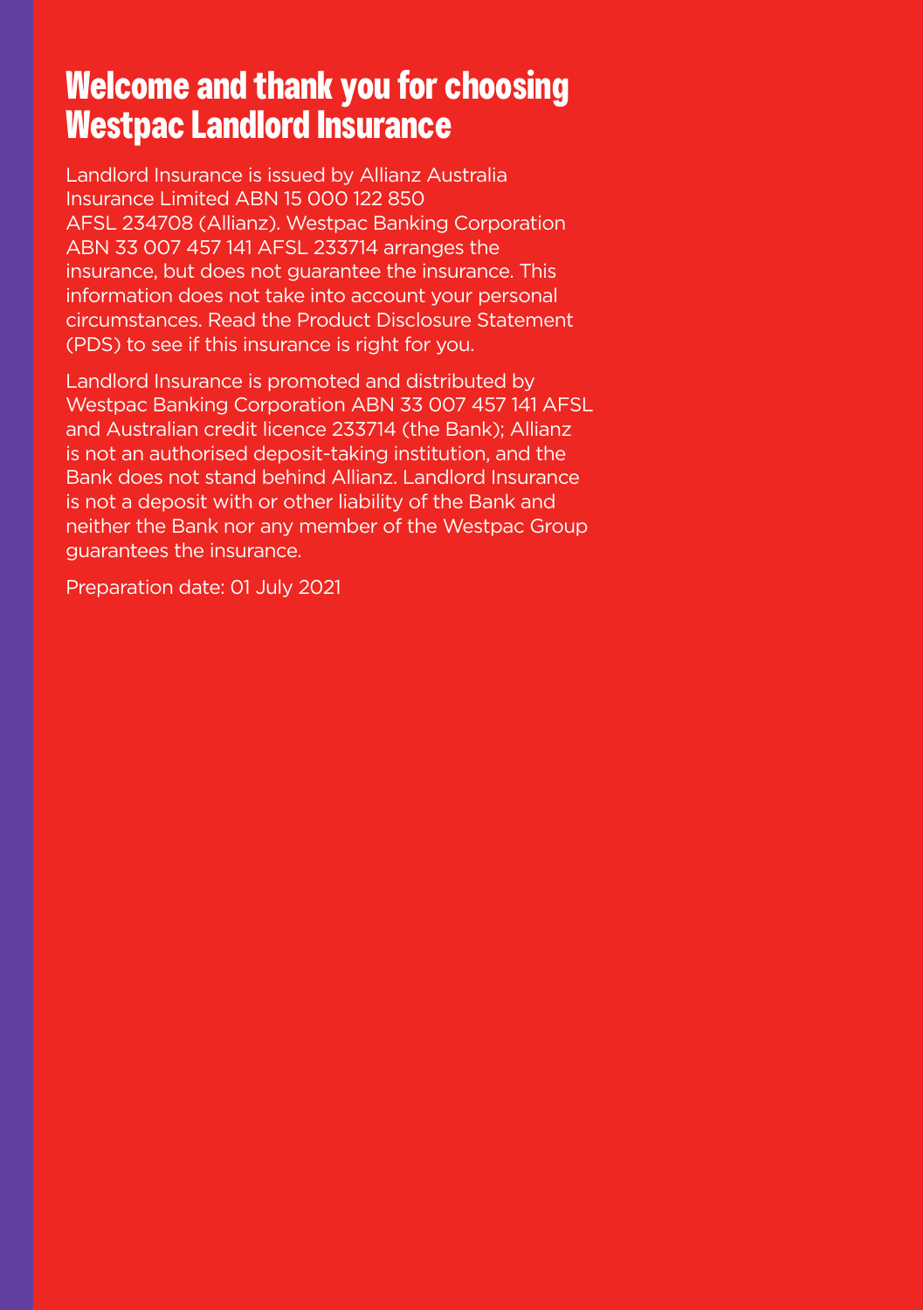### **Welcome and thank you for choosing Westpac Landlord Insurance**

Landlord Insurance is issued by Allianz Australia Insurance Limited ABN 15 000 122 850 AFSL 234708 (Allianz). Westpac Banking Corporation ABN 33 007 457 141 AFSL 233714 arranges the insurance, but does not guarantee the insurance. This information does not take into account your personal circumstances. Read the Product Disclosure Statement (PDS) to see if this insurance is right for you.

Landlord Insurance is promoted and distributed by Westpac Banking Corporation ABN 33 007 457 141 AFSL and Australian credit licence 233714 (the Bank); Allianz is not an authorised deposit-taking institution, and the Bank does not stand behind Allianz. Landlord Insurance is not a deposit with or other liability of the Bank and neither the Bank nor any member of the Westpac Group guarantees the insurance.

Preparation date: 01 July 2021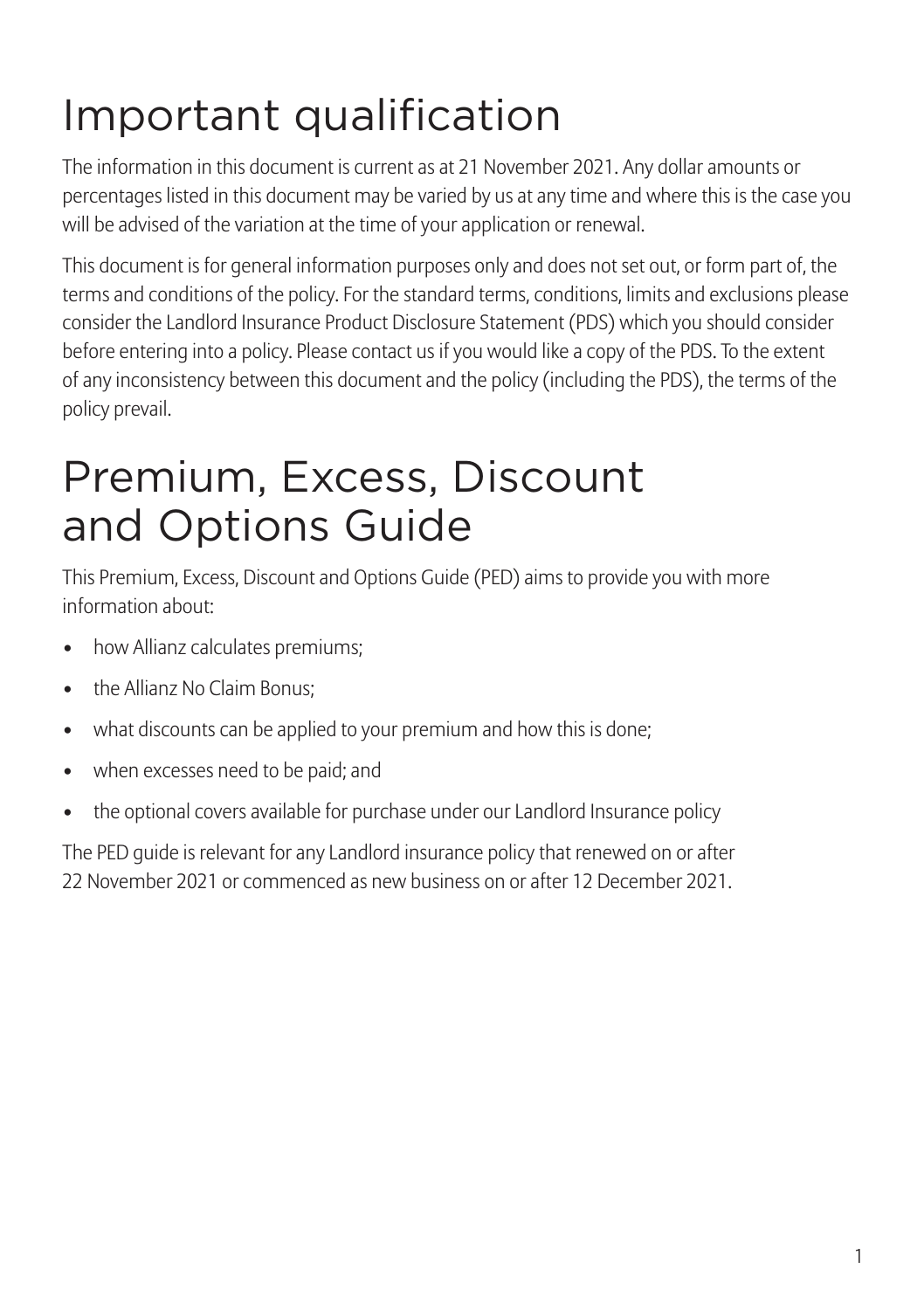# Important qualification

The information in this document is current as at 21 November 2021. Any dollar amounts or percentages listed in this document may be varied by us at any time and where this is the case you will be advised of the variation at the time of your application or renewal.

This document is for general information purposes only and does not set out, or form part of, the terms and conditions of the policy. For the standard terms, conditions, limits and exclusions please consider the Landlord Insurance Product Disclosure Statement (PDS) which you should consider before entering into a policy. Please contact us if you would like a copy of the PDS. To the extent of any inconsistency between this document and the policy (including the PDS), the terms of the policy prevail.

### Premium, Excess, Discount and Options Guide

This Premium, Excess, Discount and Options Guide (PED) aims to provide you with more information about:

- how Allianz calculates premiums;
- the Allianz No Claim Bonus:
- what discounts can be applied to your premium and how this is done;
- when excesses need to be paid; and
- the optional covers available for purchase under our Landlord Insurance policy

The PED guide is relevant for any Landlord insurance policy that renewed on or after 22 November 2021 or commenced as new business on or after 12 December 2021.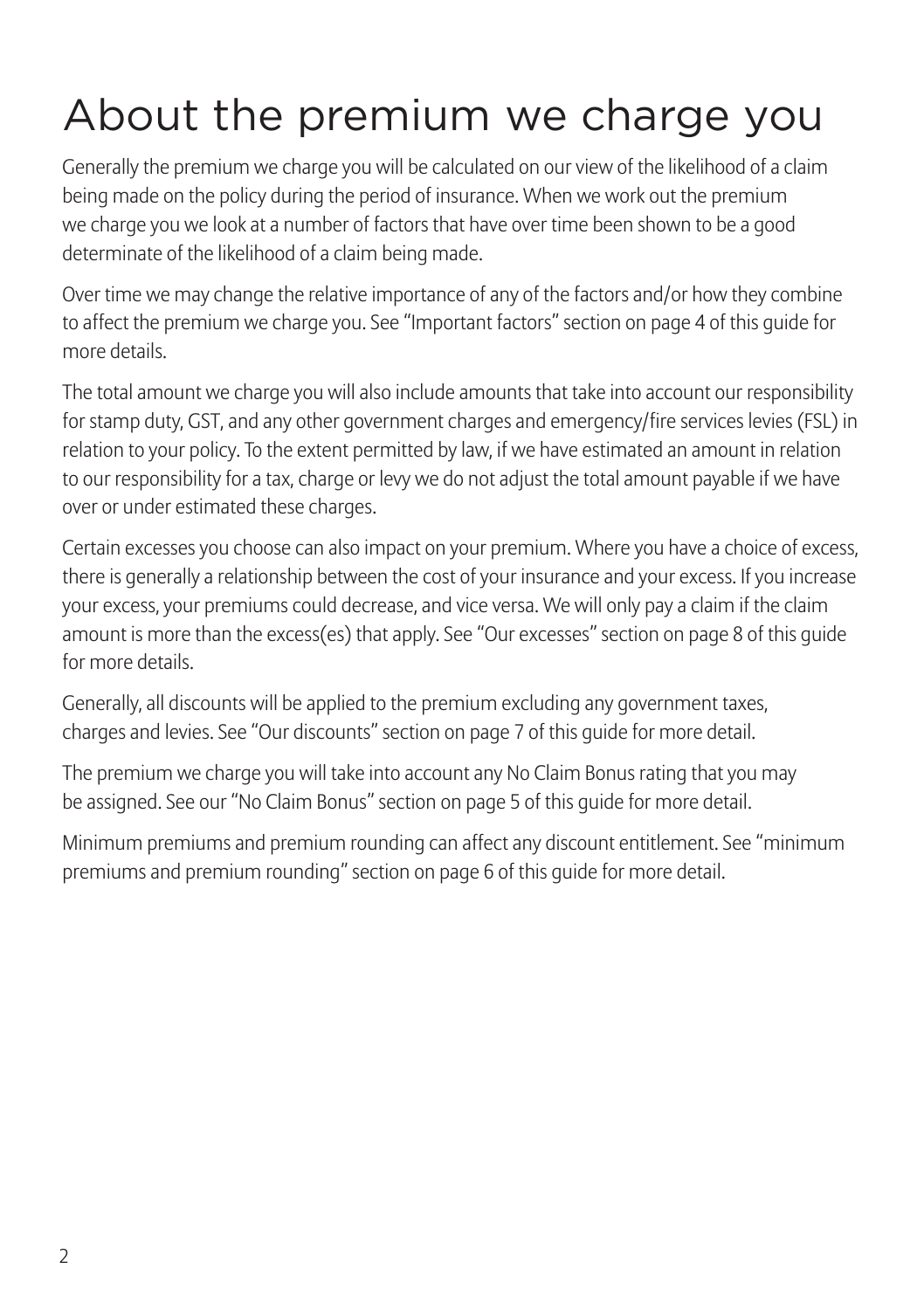# About the premium we charge you

Generally the premium we charge you will be calculated on our view of the likelihood of a claim being made on the policy during the period of insurance. When we work out the premium we charge you we look at a number of factors that have over time been shown to be a good determinate of the likelihood of a claim being made.

Over time we may change the relative importance of any of the factors and/or how they combine to affect the premium we charge you. See "Important factors" section on page 4 of this guide for more details.

The total amount we charge you will also include amounts that take into account our responsibility for stamp duty, GST, and any other government charges and emergency/fire services levies (FSL) in relation to your policy. To the extent permitted by law, if we have estimated an amount in relation to our responsibility for a tax, charge or levy we do not adjust the total amount payable if we have over or under estimated these charges.

Certain excesses you choose can also impact on your premium. Where you have a choice of excess, there is generally a relationship between the cost of your insurance and your excess. If you increase your excess, your premiums could decrease, and vice versa. We will only pay a claim if the claim amount is more than the excess(es) that apply. See "Our excesses" section on page 8 of this guide for more details.

Generally, all discounts will be applied to the premium excluding any government taxes, charges and levies. See "Our discounts" section on page 7 of this guide for more detail.

The premium we charge you will take into account any No Claim Bonus rating that you may be assigned. See our "No Claim Bonus" section on page 5 of this guide for more detail.

Minimum premiums and premium rounding can affect any discount entitlement. See "minimum premiums and premium rounding" section on page 6 of this guide for more detail.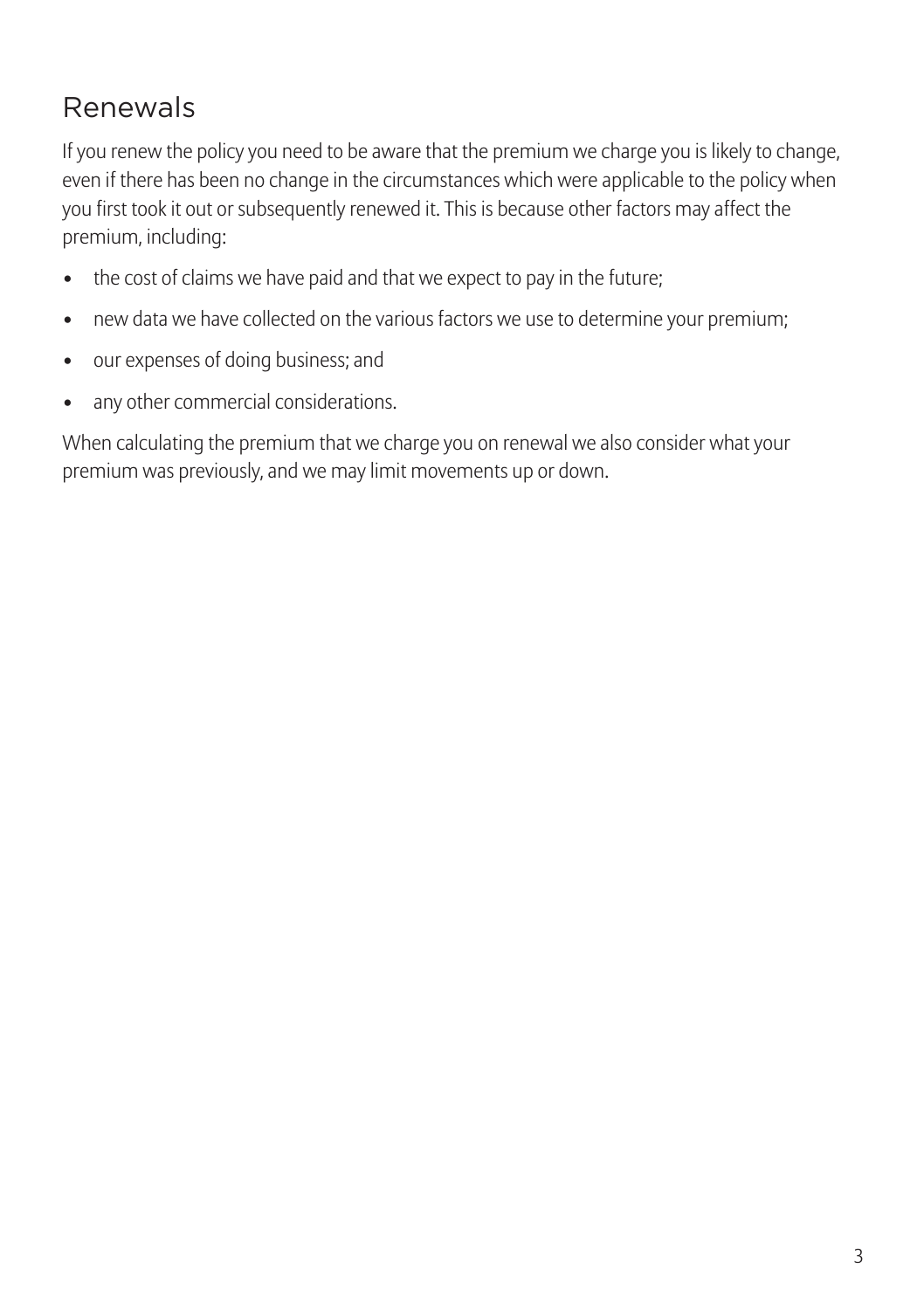### Renewals

If you renew the policy you need to be aware that the premium we charge you is likely to change, even if there has been no change in the circumstances which were applicable to the policy when you first took it out or subsequently renewed it. This is because other factors may affect the premium, including:

- the cost of claims we have paid and that we expect to pay in the future;
- new data we have collected on the various factors we use to determine your premium;
- our expenses of doing business; and
- any other commercial considerations.

When calculating the premium that we charge you on renewal we also consider what your premium was previously, and we may limit movements up or down.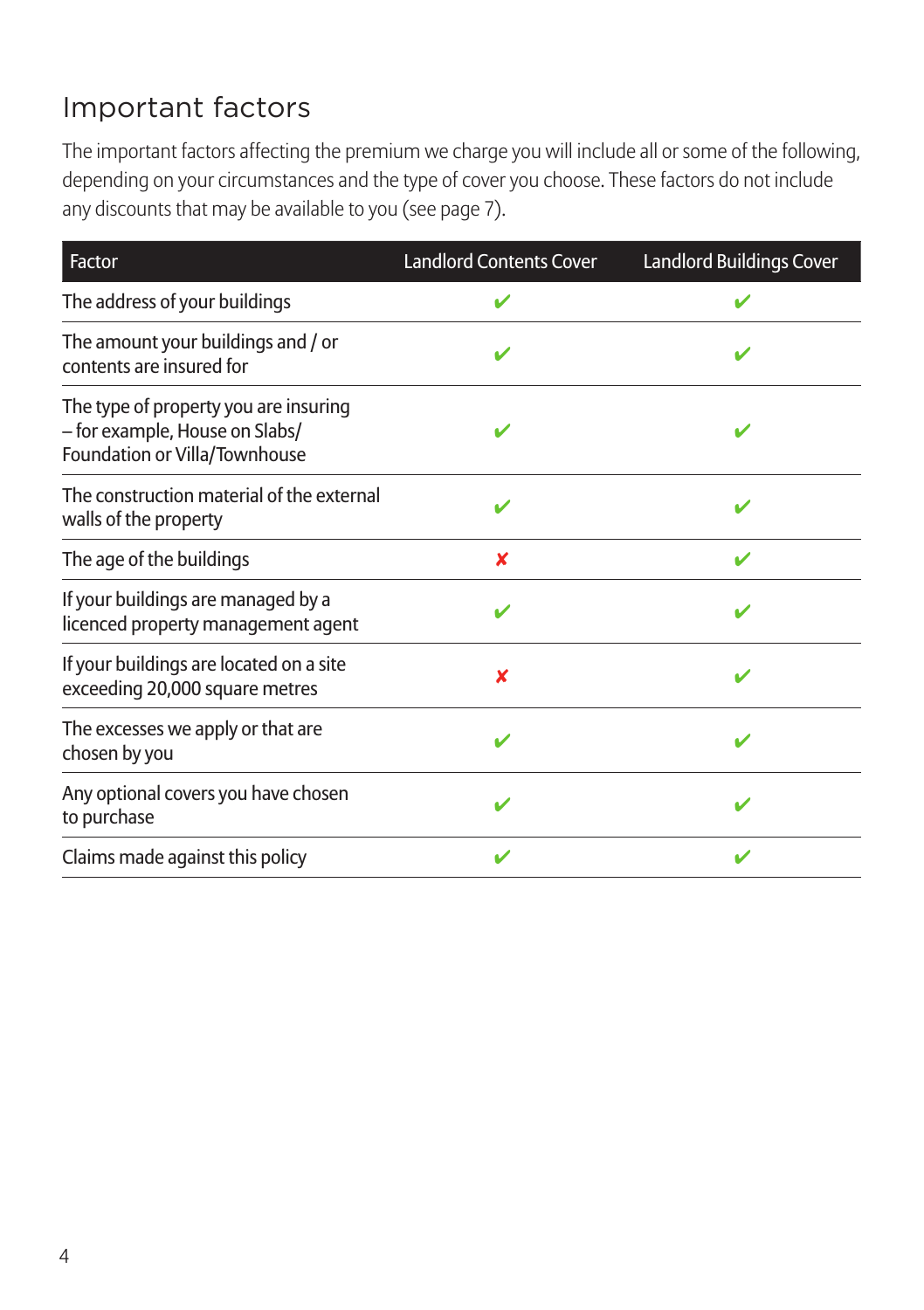### Important factors

The important factors affecting the premium we charge you will include all or some of the following, depending on your circumstances and the type of cover you choose. These factors do not include any discounts that may be available to you (see page 7).

| Factor                                                                                                   | <b>Landlord Contents Cover</b> | Landlord Buildings Cover |
|----------------------------------------------------------------------------------------------------------|--------------------------------|--------------------------|
| The address of your buildings                                                                            |                                |                          |
| The amount your buildings and / or<br>contents are insured for                                           |                                |                          |
| The type of property you are insuring<br>- for example, House on Slabs/<br>Foundation or Villa/Townhouse | v                              | v                        |
| The construction material of the external<br>walls of the property                                       | $\boldsymbol{\nu}$             | v                        |
| The age of the buildings                                                                                 | x                              | ✔                        |
| If your buildings are managed by a<br>licenced property management agent                                 |                                |                          |
| If your buildings are located on a site<br>exceeding 20,000 square metres                                | x                              | ✔                        |
| The excesses we apply or that are<br>chosen by you                                                       |                                |                          |
| Any optional covers you have chosen<br>to purchase                                                       | ✔                              | ✔                        |
| Claims made against this policy                                                                          |                                |                          |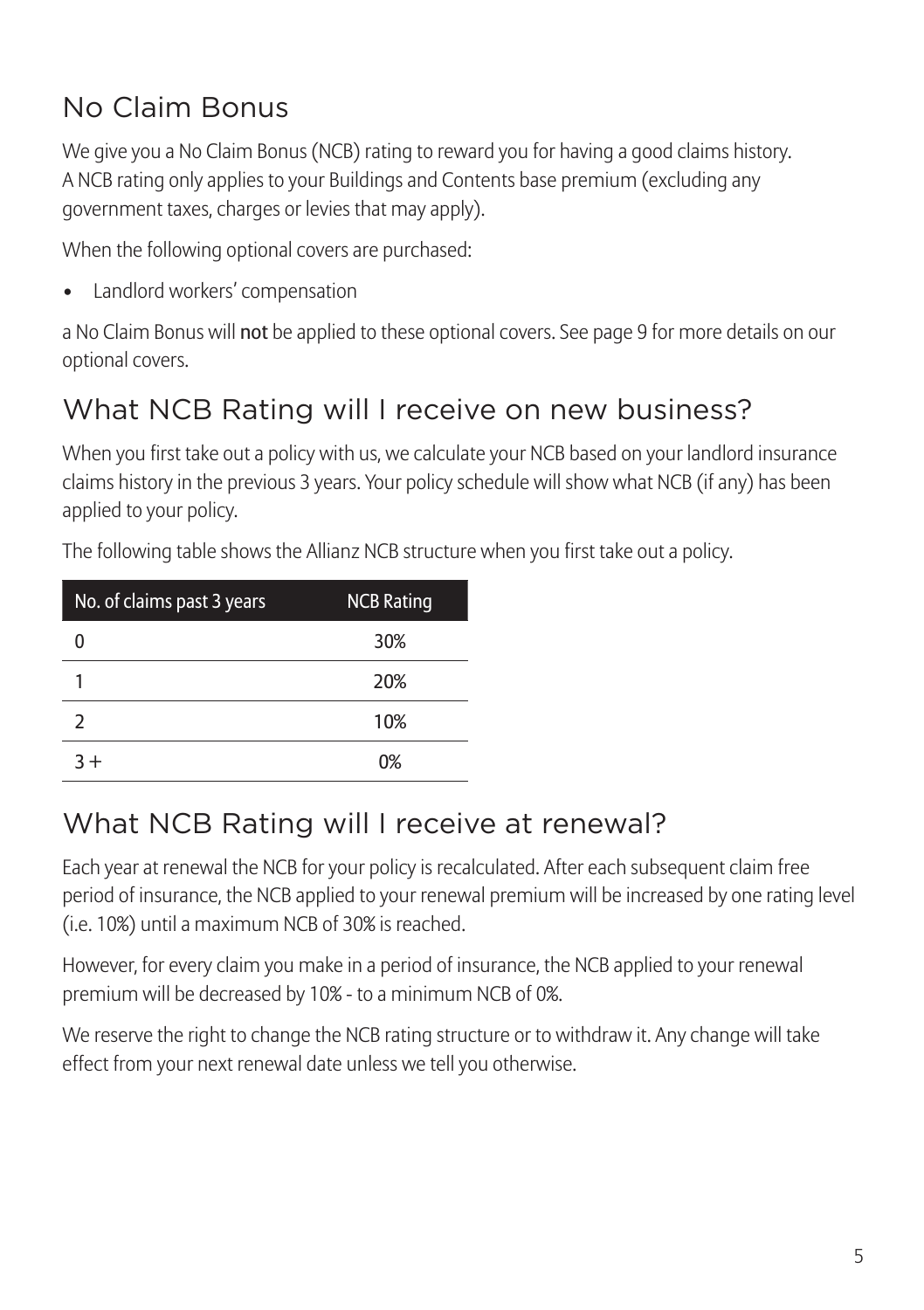### No Claim Bonus

We give you a No Claim Bonus (NCB) rating to reward you for having a good claims history. A NCB rating only applies to your Buildings and Contents base premium (excluding any government taxes, charges or levies that may apply).

When the following optional covers are purchased:

• Landlord workers' compensation

a No Claim Bonus will not be applied to these optional covers. See page 9 for more details on our optional covers.

### What NCB Rating will I receive on new business?

When you first take out a policy with us, we calculate your NCB based on your landlord insurance claims history in the previous 3 years. Your policy schedule will show what NCB (if any) has been applied to your policy.

| No. of claims past 3 years | <b>NCB Rating</b> |
|----------------------------|-------------------|
|                            | 30%               |
|                            | 20%               |
| $\mathcal{P}$              | 10%               |
| $3+$                       | 0%                |

The following table shows the Allianz NCB structure when you first take out a policy.

#### What NCB Rating will I receive at renewal?

Each year at renewal the NCB for your policy is recalculated. After each subsequent claim free period of insurance, the NCB applied to your renewal premium will be increased by one rating level (i.e. 10%) until a maximum NCB of 30% is reached.

However, for every claim you make in a period of insurance, the NCB applied to your renewal premium will be decreased by 10% - to a minimum NCB of 0%.

We reserve the right to change the NCB rating structure or to withdraw it. Any change will take effect from your next renewal date unless we tell you otherwise.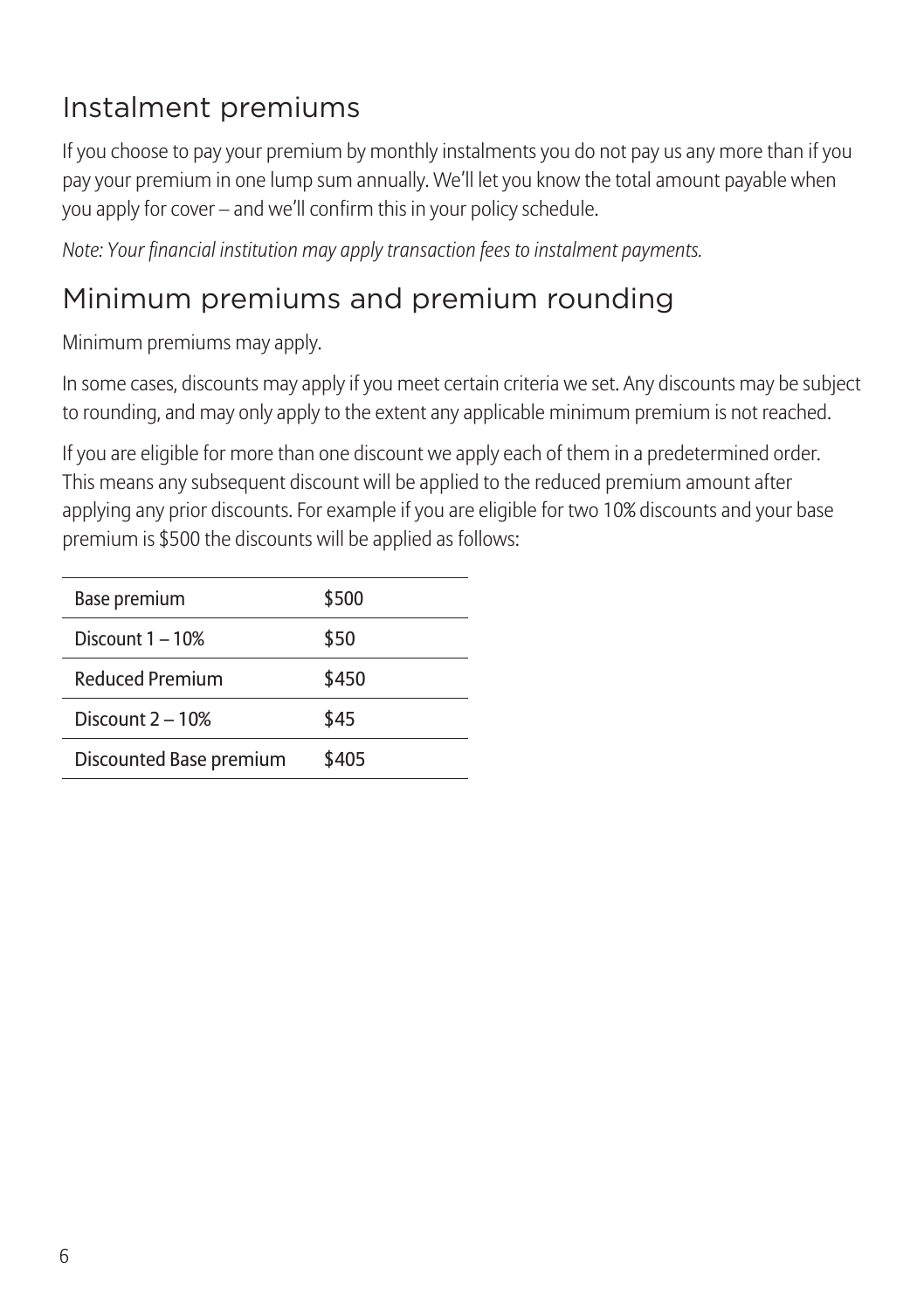### Instalment premiums

If you choose to pay your premium by monthly instalments you do not pay us any more than if you pay your premium in one lump sum annually. We'll let you know the total amount payable when you apply for cover – and we'll confirm this in your policy schedule.

*Note: Your financial institution may apply transaction fees to instalment payments.*

### Minimum premiums and premium rounding

Minimum premiums may apply.

In some cases, discounts may apply if you meet certain criteria we set. Any discounts may be subject to rounding, and may only apply to the extent any applicable minimum premium is not reached.

If you are eligible for more than one discount we apply each of them in a predetermined order. This means any subsequent discount will be applied to the reduced premium amount after applying any prior discounts. For example if you are eligible for two 10% discounts and your base premium is \$500 the discounts will be applied as follows:

| Base premium            | \$500 |
|-------------------------|-------|
| Discount $1-10\%$       | \$50  |
| Reduced Premium         | \$450 |
| Discount $2 - 10%$      | \$45  |
| Discounted Base premium | \$405 |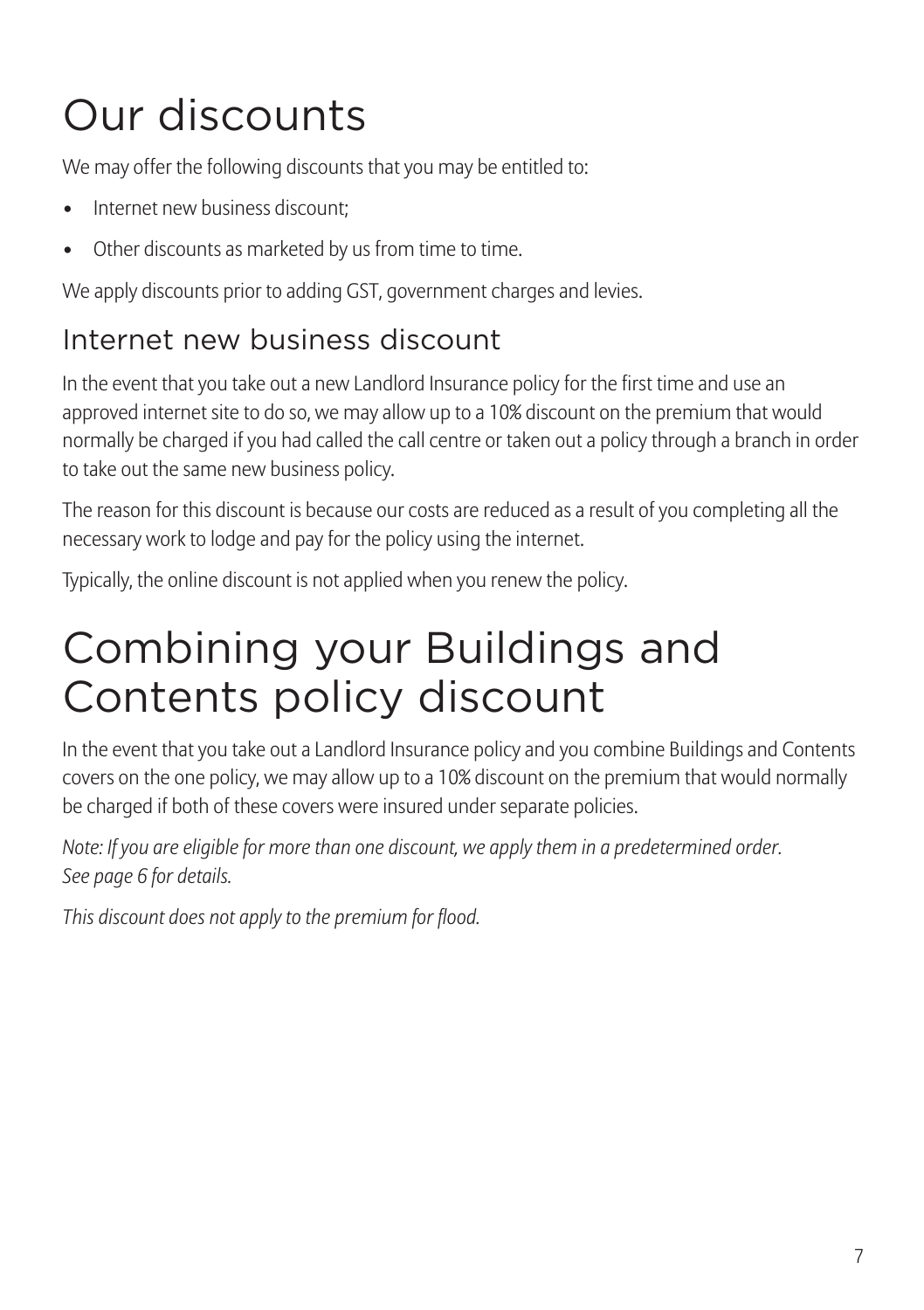# Our discounts

We may offer the following discounts that you may be entitled to:

- Internet new business discount:
- Other discounts as marketed by us from time to time.

We apply discounts prior to adding GST, government charges and levies.

### Internet new business discount

In the event that you take out a new Landlord Insurance policy for the first time and use an approved internet site to do so, we may allow up to a 10% discount on the premium that would normally be charged if you had called the call centre or taken out a policy through a branch in order to take out the same new business policy.

The reason for this discount is because our costs are reduced as a result of you completing all the necessary work to lodge and pay for the policy using the internet.

Typically, the online discount is not applied when you renew the policy.

## Combining your Buildings and Contents policy discount

In the event that you take out a Landlord Insurance policy and you combine Buildings and Contents covers on the one policy, we may allow up to a 10% discount on the premium that would normally be charged if both of these covers were insured under separate policies.

*Note: If you are eligible for more than one discount, we apply them in a predetermined order. See page 6 for details.*

*This discount does not apply to the premium for flood.*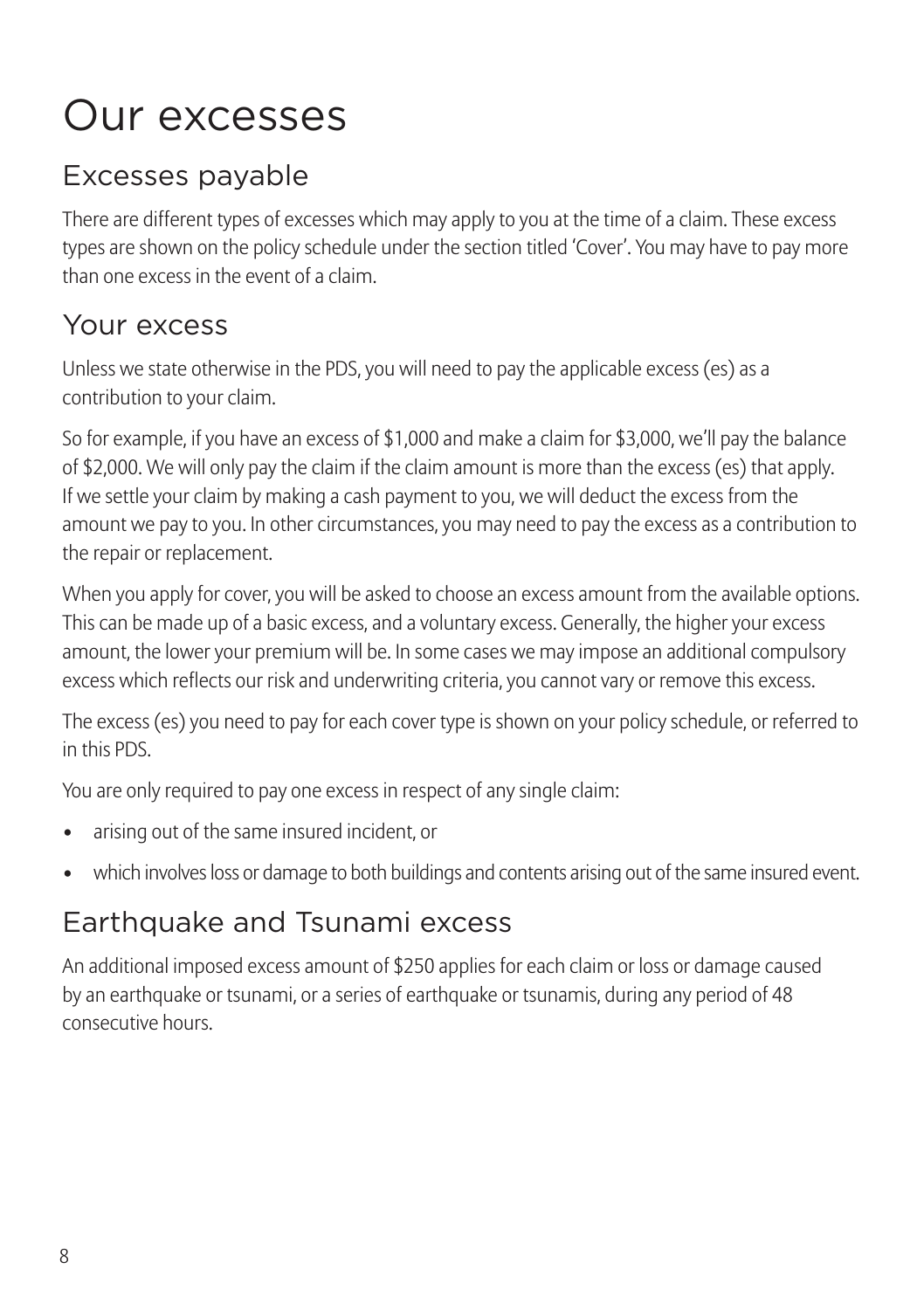## Our excesses

### Excesses payable

There are different types of excesses which may apply to you at the time of a claim. These excess types are shown on the policy schedule under the section titled 'Cover'. You may have to pay more than one excess in the event of a claim.

#### Your excess

Unless we state otherwise in the PDS, you will need to pay the applicable excess (es) as a contribution to your claim.

So for example, if you have an excess of \$1,000 and make a claim for \$3,000, we'll pay the balance of \$2,000. We will only pay the claim if the claim amount is more than the excess (es) that apply. If we settle your claim by making a cash payment to you, we will deduct the excess from the amount we pay to you. In other circumstances, you may need to pay the excess as a contribution to the repair or replacement.

When you apply for cover, you will be asked to choose an excess amount from the available options. This can be made up of a basic excess, and a voluntary excess. Generally, the higher your excess amount, the lower your premium will be. In some cases we may impose an additional compulsory excess which reflects our risk and underwriting criteria, you cannot vary or remove this excess.

The excess (es) you need to pay for each cover type is shown on your policy schedule, or referred to in this PDS.

You are only required to pay one excess in respect of any single claim:

- arising out of the same insured incident, or
- which involves loss or damage to both buildings and contents arising out of the same insured event.

### Earthquake and Tsunami excess

An additional imposed excess amount of \$250 applies for each claim or loss or damage caused by an earthquake or tsunami, or a series of earthquake or tsunamis, during any period of 48 consecutive hours.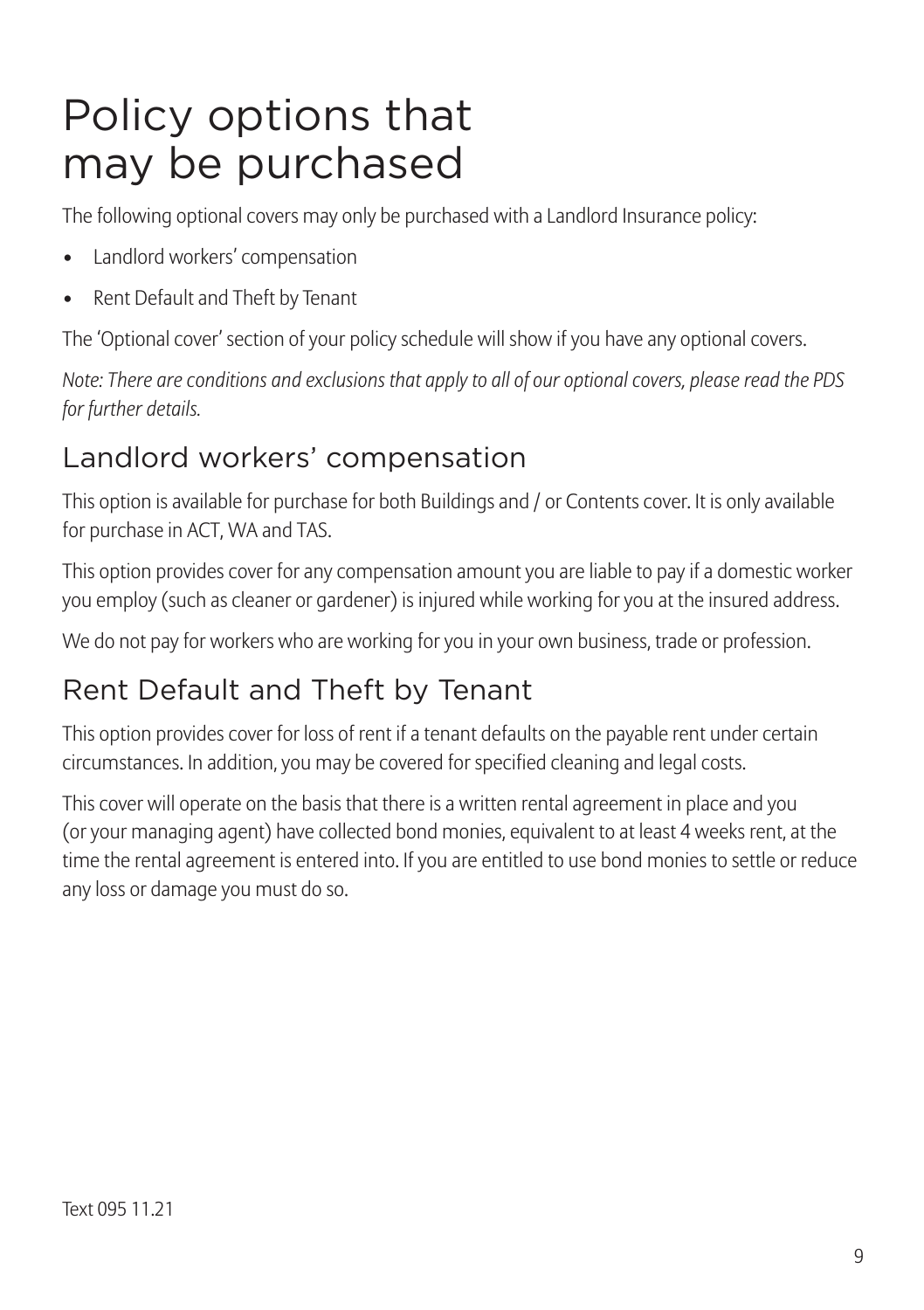### Policy options that may be purchased

The following optional covers may only be purchased with a Landlord Insurance policy:

- Landlord workers' compensation
- Rent Default and Theft by Tenant

The 'Optional cover' section of your policy schedule will show if you have any optional covers.

*Note: There are conditions and exclusions that apply to all of our optional covers, please read the PDS for further details.*

### Landlord workers' compensation

This option is available for purchase for both Buildings and / or Contents cover. It is only available for purchase in ACT, WA and TAS.

This option provides cover for any compensation amount you are liable to pay if a domestic worker you employ (such as cleaner or gardener) is injured while working for you at the insured address.

We do not pay for workers who are working for you in your own business, trade or profession.

### Rent Default and Theft by Tenant

This option provides cover for loss of rent if a tenant defaults on the payable rent under certain circumstances. In addition, you may be covered for specified cleaning and legal costs.

This cover will operate on the basis that there is a written rental agreement in place and you (or your managing agent) have collected bond monies, equivalent to at least 4 weeks rent, at the time the rental agreement is entered into. If you are entitled to use bond monies to settle or reduce any loss or damage you must do so.